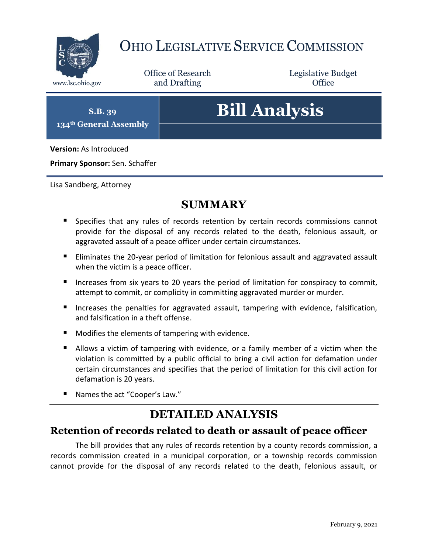

# OHIO LEGISLATIVE SERVICE COMMISSION

Office of Research www.lsc.ohio.gov **and Drafting Office** 

Legislative Budget

**S.B. 39 134th General Assembly**

# **Bill Analysis**

**Version:** As Introduced

**Primary Sponsor:** Sen. Schaffer

Lisa Sandberg, Attorney

## **SUMMARY**

- **Specifies that any rules of records retention by certain records commissions cannot** provide for the disposal of any records related to the death, felonious assault, or aggravated assault of a peace officer under certain circumstances.
- **Eliminates the 20-year period of limitation for felonious assault and aggravated assault** when the victim is a peace officer.
- Increases from six years to 20 years the period of limitation for conspiracy to commit, attempt to commit, or complicity in committing aggravated murder or murder.
- Increases the penalties for aggravated assault, tampering with evidence, falsification, and falsification in a theft offense.
- **Modifies the elements of tampering with evidence.**
- Allows a victim of tampering with evidence, or a family member of a victim when the violation is committed by a public official to bring a civil action for defamation under certain circumstances and specifies that the period of limitation for this civil action for defamation is 20 years.
- Names the act "Cooper's Law."

## **DETAILED ANALYSIS**

#### **Retention of records related to death or assault of peace officer**

The bill provides that any rules of records retention by a county records commission, a records commission created in a municipal corporation, or a township records commission cannot provide for the disposal of any records related to the death, felonious assault, or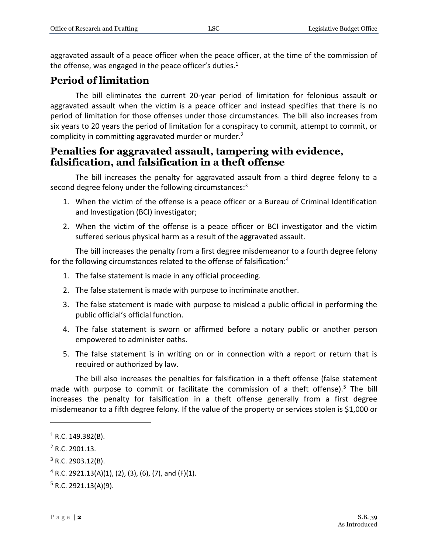aggravated assault of a peace officer when the peace officer, at the time of the commission of the offense, was engaged in the peace officer's duties. $1$ 

#### **Period of limitation**

The bill eliminates the current 20-year period of limitation for felonious assault or aggravated assault when the victim is a peace officer and instead specifies that there is no period of limitation for those offenses under those circumstances. The bill also increases from six years to 20 years the period of limitation for a conspiracy to commit, attempt to commit, or complicity in committing aggravated murder or murder.<sup>2</sup>

#### **Penalties for aggravated assault, tampering with evidence, falsification, and falsification in a theft offense**

The bill increases the penalty for aggravated assault from a third degree felony to a second degree felony under the following circumstances:<sup>3</sup>

- 1. When the victim of the offense is a peace officer or a Bureau of Criminal Identification and Investigation (BCI) investigator;
- 2. When the victim of the offense is a peace officer or BCI investigator and the victim suffered serious physical harm as a result of the aggravated assault.

The bill increases the penalty from a first degree misdemeanor to a fourth degree felony for the following circumstances related to the offense of falsification:<sup>4</sup>

- 1. The false statement is made in any official proceeding.
- 2. The false statement is made with purpose to incriminate another.
- 3. The false statement is made with purpose to mislead a public official in performing the public official's official function.
- 4. The false statement is sworn or affirmed before a notary public or another person empowered to administer oaths.
- 5. The false statement is in writing on or in connection with a report or return that is required or authorized by law.

The bill also increases the penalties for falsification in a theft offense (false statement made with purpose to commit or facilitate the commission of a theft offense).<sup>5</sup> The bill increases the penalty for falsification in a theft offense generally from a first degree misdemeanor to a fifth degree felony. If the value of the property or services stolen is \$1,000 or

 $\overline{a}$ 

 $1$  R.C. 149.382(B).

<sup>2</sup> R.C. 2901.13.

 $3$  R.C. 2903.12(B).

 $4$  R.C. 2921.13(A)(1), (2), (3), (6), (7), and (F)(1).

 $5$  R.C. 2921.13(A)(9).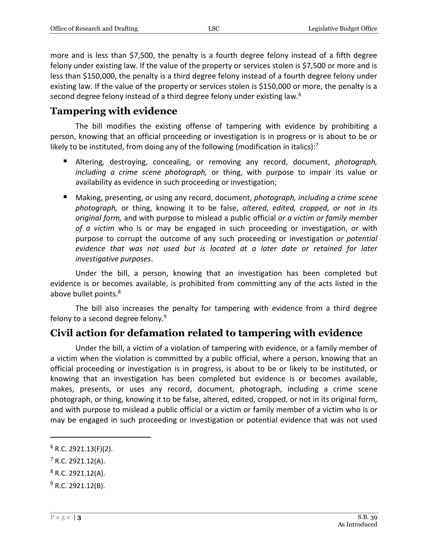more and is less than \$7,500, the penalty is a fourth degree felony instead of a fifth degree felony under existing law. If the value of the property or services stolen is \$7,500 or more and is less than \$150,000, the penalty is a third degree felony instead of a fourth degree felony under existing law. If the value of the property or services stolen is \$150,000 or more, the penalty is a second degree felony instead of a third degree felony under existing law.<sup>6</sup>

#### **Tampering with evidence**

The bill modifies the existing offense of tampering with evidence by prohibiting a person, knowing that an official proceeding or investigation is in progress or is about to be or likely to be instituted, from doing any of the following (modification in italics): $7$ 

- Altering, destroying, concealing, or removing any record, document, *photograph, including a crime scene photograph,* or thing, with purpose to impair its value or availability as evidence in such proceeding or investigation;
- Making, presenting, or using any record, document, *photograph, including a crime scene photograph,* or thing, knowing it to be false, *altered, edited, cropped, or not in its original form,* and with purpose to mislead a public official *or a victim or family member of a victim* who is or may be engaged in such proceeding or investigation, or with purpose to corrupt the outcome of any such proceeding or investigation *or potential evidence that was not used but is located at a later date or retained for later investigative purposes*.

Under the bill, a person, knowing that an investigation has been completed but evidence is or becomes available, is prohibited from committing any of the acts listed in the above bullet points.<sup>8</sup>

The bill also increases the penalty for tampering with evidence from a third degree felony to a second degree felony.<sup>9</sup>

### **Civil action for defamation related to tampering with evidence**

Under the bill, a victim of a violation of tampering with evidence, or a family member of a victim when the violation is committed by a public official, where a person, knowing that an official proceeding or investigation is in progress, is about to be or likely to be instituted, or knowing that an investigation has been completed but evidence is or becomes available, makes, presents, or uses any record, document, photograph, including a crime scene photograph, or thing, knowing it to be false, altered, edited, cropped, or not in its original form*,* and with purpose to mislead a public official or a victim or family member of a victim who is or may be engaged in such proceeding or investigation or potential evidence that was not used

 $\overline{a}$ 

 $6$  R.C. 2921.13(F)(2).

 $7$  R.C. 2921.12(A).

 $8$  R.C. 2921.12(A).

 $9$  R.C. 2921.12(B).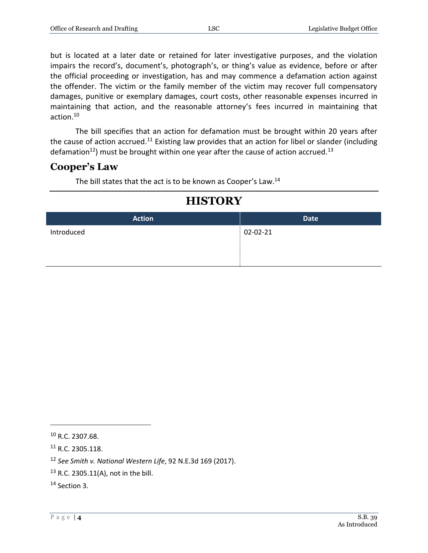but is located at a later date or retained for later investigative purposes, and the violation impairs the record's, document's, photograph's, or thing's value as evidence, before or after the official proceeding or investigation, has and may commence a defamation action against the offender. The victim or the family member of the victim may recover full compensatory damages, punitive or exemplary damages, court costs, other reasonable expenses incurred in maintaining that action, and the reasonable attorney's fees incurred in maintaining that action.<sup>10</sup>

The bill specifies that an action for defamation must be brought within 20 years after the cause of action accrued.<sup>11</sup> Existing law provides that an action for libel or slander (including defamation<sup>12</sup>) must be brought within one year after the cause of action accrued.<sup>13</sup>

#### **Cooper's Law**

The bill states that the act is to be known as Cooper's Law.<sup>14</sup>

# **Action Date** Introduced 02-02-21

# **HISTORY**

 $\overline{a}$ 

<sup>10</sup> R.C. 2307.68.

<sup>11</sup> R.C. 2305.118.

<sup>12</sup> *See Smith v. National Western Life*, 92 N.E.3d 169 (2017).

<sup>13</sup> R.C. 2305.11(A), not in the bill.

<sup>14</sup> Section 3.